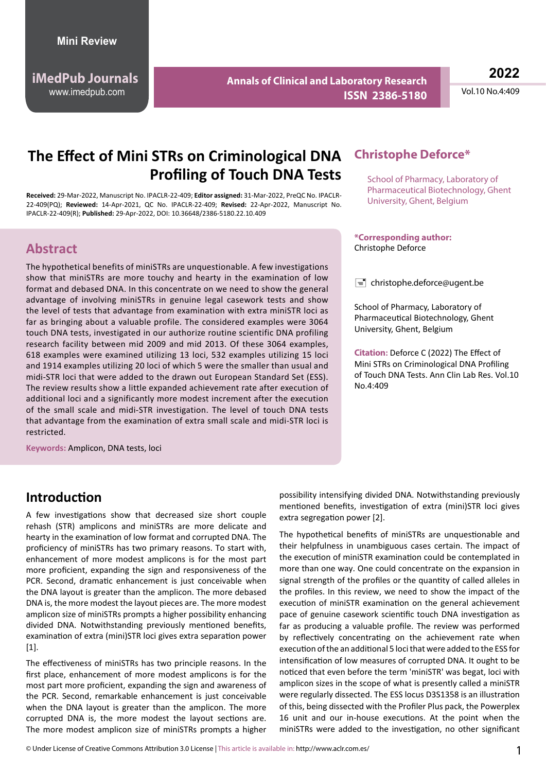**iMedPub Journals** www.imedpub.com

**Annals of Clinical and Laboratory Research ISSN 2386-5180** **2022**

Vol.10 No.4:409

# **The Effect of Mini STRs on Criminological DNA Profiling of Touch DNA Tests**

**Received:** 29-Mar-2022, Manuscript No. IPACLR-22-409; **Editor assigned:** 31-Mar-2022, PreQC No. IPACLR-22-409(PQ); **Reviewed:** 14-Apr-2021, QC No. IPACLR-22-409; **Revised:** 22-Apr-2022, Manuscript No. IPACLR-22-409(R); **Published:** 29-Apr-2022, DOI: 10.36648/2386-5180.22.10.409

# **Abstract**

The hypothetical benefits of miniSTRs are unquestionable. A few investigations show that miniSTRs are more touchy and hearty in the examination of low format and debased DNA. In this concentrate on we need to show the general advantage of involving miniSTRs in genuine legal casework tests and show the level of tests that advantage from examination with extra miniSTR loci as far as bringing about a valuable profile. The considered examples were 3064 touch DNA tests, investigated in our authorize routine scientific DNA profiling research facility between mid 2009 and mid 2013. Of these 3064 examples, 618 examples were examined utilizing 13 loci, 532 examples utilizing 15 loci and 1914 examples utilizing 20 loci of which 5 were the smaller than usual and midi-STR loci that were added to the drawn out European Standard Set (ESS). The review results show a little expanded achievement rate after execution of additional loci and a significantly more modest increment after the execution of the small scale and midi-STR investigation. The level of touch DNA tests that advantage from the examination of extra small scale and midi-STR loci is restricted.

**Keywords:** Amplicon, DNA tests, loci

### **Christophe Deforce\***

School of Pharmacy, Laboratory of Pharmaceutical Biotechnology, Ghent University, Ghent, Belgium

#### **\*Corresponding author:** Christophe Deforce

 $\equiv$  christophe.deforce@ugent.be

School of Pharmacy, Laboratory of Pharmaceutical Biotechnology, Ghent University, Ghent, Belgium

**Citation:** Deforce C (2022) The Effect of Mini STRs on Criminological DNA Profiling of Touch DNA Tests. Ann Clin Lab Res. Vol.10 No.4:409

# **Introduction**

A few investigations show that decreased size short couple rehash (STR) amplicons and miniSTRs are more delicate and hearty in the examination of low format and corrupted DNA. The proficiency of miniSTRs has two primary reasons. To start with, enhancement of more modest amplicons is for the most part more proficient, expanding the sign and responsiveness of the PCR. Second, dramatic enhancement is just conceivable when the DNA layout is greater than the amplicon. The more debased DNA is, the more modest the layout pieces are. The more modest amplicon size of miniSTRs prompts a higher possibility enhancing divided DNA. Notwithstanding previously mentioned benefits, examination of extra (mini)STR loci gives extra separation power [1].

The effectiveness of miniSTRs has two principle reasons. In the first place, enhancement of more modest amplicons is for the most part more proficient, expanding the sign and awareness of the PCR. Second, remarkable enhancement is just conceivable when the DNA layout is greater than the amplicon. The more corrupted DNA is, the more modest the layout sections are. The more modest amplicon size of miniSTRs prompts a higher possibility intensifying divided DNA. Notwithstanding previously mentioned benefits, investigation of extra (mini)STR loci gives extra segregation power [2].

The hypothetical benefits of miniSTRs are unquestionable and their helpfulness in unambiguous cases certain. The impact of the execution of miniSTR examination could be contemplated in more than one way. One could concentrate on the expansion in signal strength of the profiles or the quantity of called alleles in the profiles. In this review, we need to show the impact of the execution of miniSTR examination on the general achievement pace of genuine casework scientific touch DNA investigation as far as producing a valuable profile. The review was performed by reflectively concentrating on the achievement rate when execution of the an additional 5 loci that were added to the ESS for intensification of low measures of corrupted DNA. It ought to be noticed that even before the term 'miniSTR' was begat, loci with amplicon sizes in the scope of what is presently called a miniSTR were regularly dissected. The ESS locus D3S1358 is an illustration of this, being dissected with the Profiler Plus pack, the Powerplex 16 unit and our in-house executions. At the point when the miniSTRs were added to the investigation, no other significant